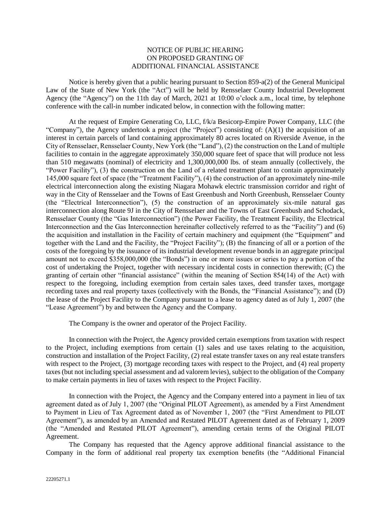## NOTICE OF PUBLIC HEARING ON PROPOSED GRANTING OF ADDITIONAL FINANCIAL ASSISTANCE

Notice is hereby given that a public hearing pursuant to Section 859-a(2) of the General Municipal Law of the State of New York (the "Act") will be held by Rensselaer County Industrial Development Agency (the "Agency") on the 11th day of March, 2021 at 10:00 o'clock a.m., local time, by telephone conference with the call-in number indicated below, in connection with the following matter:

At the request of Empire Generating Co, LLC, f/k/a Besicorp-Empire Power Company, LLC (the "Company"), the Agency undertook a project (the "Project") consisting of: (A)(1) the acquisition of an interest in certain parcels of land containing approximately 80 acres located on Riverside Avenue, in the City of Rensselaer, Rensselaer County, New York (the "Land"), (2) the construction on the Land of multiple facilities to contain in the aggregate approximately 350,000 square feet of space that will produce not less than 510 megawatts (nominal) of electricity and 1,300,000,000 lbs. of steam annually (collectively, the "Power Facility"), (3) the construction on the Land of a related treatment plant to contain approximately 145,000 square feet of space (the "Treatment Facility"), (4) the construction of an approximately nine-mile electrical interconnection along the existing Niagara Mohawk electric transmission corridor and right of way in the City of Rensselaer and the Towns of East Greenbush and North Greenbush, Rensselaer County (the "Electrical Interconnection"), (5) the construction of an approximately six-mile natural gas interconnection along Route 9J in the City of Rensselaer and the Towns of East Greenbush and Schodack, Rensselaer County (the "Gas Interconnection") (the Power Facility, the Treatment Facility, the Electrical Interconnection and the Gas Interconnection hereinafter collectively referred to as the "Facility") and (6) the acquisition and installation in the Facility of certain machinery and equipment (the "Equipment" and together with the Land and the Facility, the "Project Facility"); (B) the financing of all or a portion of the costs of the foregoing by the issuance of its industrial development revenue bonds in an aggregate principal amount not to exceed \$358,000,000 (the "Bonds") in one or more issues or series to pay a portion of the cost of undertaking the Project, together with necessary incidental costs in connection therewith; (C) the granting of certain other "financial assistance" (within the meaning of Section 854(14) of the Act) with respect to the foregoing, including exemption from certain sales taxes, deed transfer taxes, mortgage recording taxes and real property taxes (collectively with the Bonds, the "Financial Assistance"); and (D) the lease of the Project Facility to the Company pursuant to a lease to agency dated as of July 1, 2007 (the "Lease Agreement") by and between the Agency and the Company.

The Company is the owner and operator of the Project Facility.

In connection with the Project, the Agency provided certain exemptions from taxation with respect to the Project, including exemptions from certain (1) sales and use taxes relating to the acquisition, construction and installation of the Project Facility, (2) real estate transfer taxes on any real estate transfers with respect to the Project, (3) mortgage recording taxes with respect to the Project, and (4) real property taxes (but not including special assessment and ad valorem levies), subject to the obligation of the Company to make certain payments in lieu of taxes with respect to the Project Facility.

In connection with the Project, the Agency and the Company entered into a payment in lieu of tax agreement dated as of July 1, 2007 (the "Original PILOT Agreement), as amended by a First Amendment to Payment in Lieu of Tax Agreement dated as of November 1, 2007 (the "First Amendment to PILOT Agreement"), as amended by an Amended and Restated PILOT Agreement dated as of February 1, 2009 (the "Amended and Restated PILOT Agreement"), amending certain terms of the Original PILOT Agreement.

The Company has requested that the Agency approve additional financial assistance to the Company in the form of additional real property tax exemption benefits (the "Additional Financial